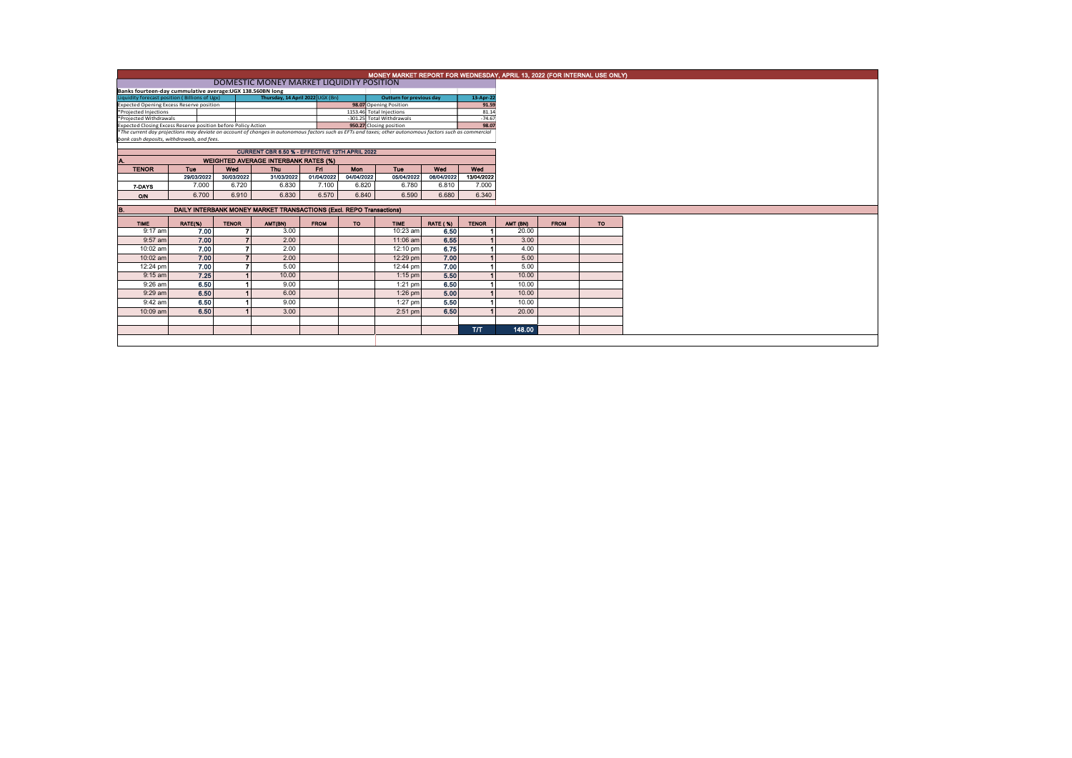|                                                                                                                                                                                                        | MONEY MARKET REPORT FOR WEDNESDAY, APRIL 13, 2022 (FOR INTERNAL USE ONLY) |              |                                             |             |                          |                           |                 |              |          |             |           |  |  |
|--------------------------------------------------------------------------------------------------------------------------------------------------------------------------------------------------------|---------------------------------------------------------------------------|--------------|---------------------------------------------|-------------|--------------------------|---------------------------|-----------------|--------------|----------|-------------|-----------|--|--|
|                                                                                                                                                                                                        |                                                                           |              | DOMESTIC MONEY MARKET LIQUIDITY POSITION    |             |                          |                           |                 |              |          |             |           |  |  |
| Banks fourteen-day cummulative average: UGX 138.560BN long                                                                                                                                             |                                                                           |              |                                             |             |                          |                           |                 |              |          |             |           |  |  |
| Liquidity forecast position (Billions of Ugx)                                                                                                                                                          | 13-Apr-22                                                                 |              |                                             |             |                          |                           |                 |              |          |             |           |  |  |
| Expected Opening Excess Reserve position                                                                                                                                                               |                                                                           |              |                                             |             |                          | 98.07 Opening Position    |                 | 91.59        |          |             |           |  |  |
| *Projected Injections                                                                                                                                                                                  |                                                                           |              |                                             |             | 1153.46 Total Injections |                           |                 | 81.14        |          |             |           |  |  |
| *Projected Withdrawals                                                                                                                                                                                 |                                                                           |              |                                             |             |                          | -301.25 Total Withdrawals |                 | $-74.67$     |          |             |           |  |  |
| Expected Closing Excess Reserve position before Policy Action                                                                                                                                          |                                                                           |              |                                             |             |                          | 950.27 Closing position   |                 | 98.07        |          |             |           |  |  |
| *The current day projections may deviate on account of changes in autonomous factors such as EFTs and taxes; other autonomous factors such as commercial<br>bank cash deposits, withdrawals, and fees. |                                                                           |              |                                             |             |                          |                           |                 |              |          |             |           |  |  |
|                                                                                                                                                                                                        |                                                                           |              |                                             |             |                          |                           |                 |              |          |             |           |  |  |
| CURRENT CBR 6.50 % - EFFECTIVE 12TH APRIL 2022                                                                                                                                                         |                                                                           |              |                                             |             |                          |                           |                 |              |          |             |           |  |  |
| A.                                                                                                                                                                                                     |                                                                           |              | <b>WEIGHTED AVERAGE INTERBANK RATES (%)</b> |             |                          |                           |                 |              |          |             |           |  |  |
| <b>TENOR</b>                                                                                                                                                                                           | Tue                                                                       | Wed          | Thu                                         | Fri I       | <b>Mon</b>               | <b>Tue</b>                | Wed             | Wed          |          |             |           |  |  |
|                                                                                                                                                                                                        | 29/03/2022                                                                | 30/03/2022   | 31/03/2022                                  | 01/04/2022  | 04/04/2022               | 05/04/2022                | 06/04/2022      | 13/04/2022   |          |             |           |  |  |
| 7-DAYS                                                                                                                                                                                                 | 7.000                                                                     | 6.720        | 6.830                                       | 7.100       | 6.820                    | 6.780                     | 6.810           | 7.000        |          |             |           |  |  |
| O/N                                                                                                                                                                                                    | 6.700                                                                     | 6.910        | 6,830                                       | 6.570       | 6.840                    | 6.590                     | 6,680           | 6.340        |          |             |           |  |  |
|                                                                                                                                                                                                        |                                                                           |              |                                             |             |                          |                           |                 |              |          |             |           |  |  |
| B.                                                                                                                                                                                                     | DAILY INTERBANK MONEY MARKET TRANSACTIONS (Excl. REPO Transactions)       |              |                                             |             |                          |                           |                 |              |          |             |           |  |  |
| <b>TIME</b>                                                                                                                                                                                            | RATE(%)                                                                   | <b>TENOR</b> | AMT(BN)                                     | <b>FROM</b> | <b>TO</b>                | <b>TIME</b>               | <b>RATE (%)</b> | <b>TENOR</b> | AMT (BN) | <b>FROM</b> | <b>TO</b> |  |  |
| 9:17 am                                                                                                                                                                                                | 7.00                                                                      |              | 3.00                                        |             |                          | 10:23 am                  | 6.50            |              | 20.00    |             |           |  |  |
| 9:57 am                                                                                                                                                                                                | 7.00                                                                      |              | 2.00                                        |             |                          | 11:06 am                  | 6.55            |              | 3.00     |             |           |  |  |
| 10:02 am                                                                                                                                                                                               | 7.00                                                                      |              | 2.00                                        |             |                          | 12:10 pm                  | 6.75            |              | 4.00     |             |           |  |  |
| 10:02 am                                                                                                                                                                                               | 7.00                                                                      |              | 2.00                                        |             |                          | 12:29 pm                  | 7.00            |              | 5.00     |             |           |  |  |
| 12:24 pm                                                                                                                                                                                               | 7.00                                                                      |              | 5.00                                        |             |                          | 12:44 pm                  | 7.00            |              | 5.00     |             |           |  |  |
| $9:15$ am                                                                                                                                                                                              | 7.25                                                                      |              | 10.00                                       |             |                          | $1:15$ pm                 | 5.50            |              | 10.00    |             |           |  |  |
| 9:26 am                                                                                                                                                                                                | 6.50                                                                      |              | 9.00                                        |             |                          | $1:21$ pm                 | 6.50            |              | 10.00    |             |           |  |  |
| 9:29 am                                                                                                                                                                                                | 6.50                                                                      |              | 6.00                                        |             |                          | $1:26$ pm                 | 5.00            |              | 10.00    |             |           |  |  |
| 9:42 am                                                                                                                                                                                                | 6,50                                                                      |              | 9.00                                        |             |                          | $1:27$ pm                 | 5.50            |              | 10.00    |             |           |  |  |
| 10:09 am                                                                                                                                                                                               | 6.50                                                                      |              | 3.00                                        |             |                          | $2:51$ pm                 | 6.50            |              | 20.00    |             |           |  |  |
|                                                                                                                                                                                                        |                                                                           |              |                                             |             |                          |                           |                 |              |          |             |           |  |  |
|                                                                                                                                                                                                        |                                                                           |              |                                             |             |                          |                           |                 | <b>T/T</b>   | 148.00   |             |           |  |  |
|                                                                                                                                                                                                        |                                                                           |              |                                             |             |                          |                           |                 |              |          |             |           |  |  |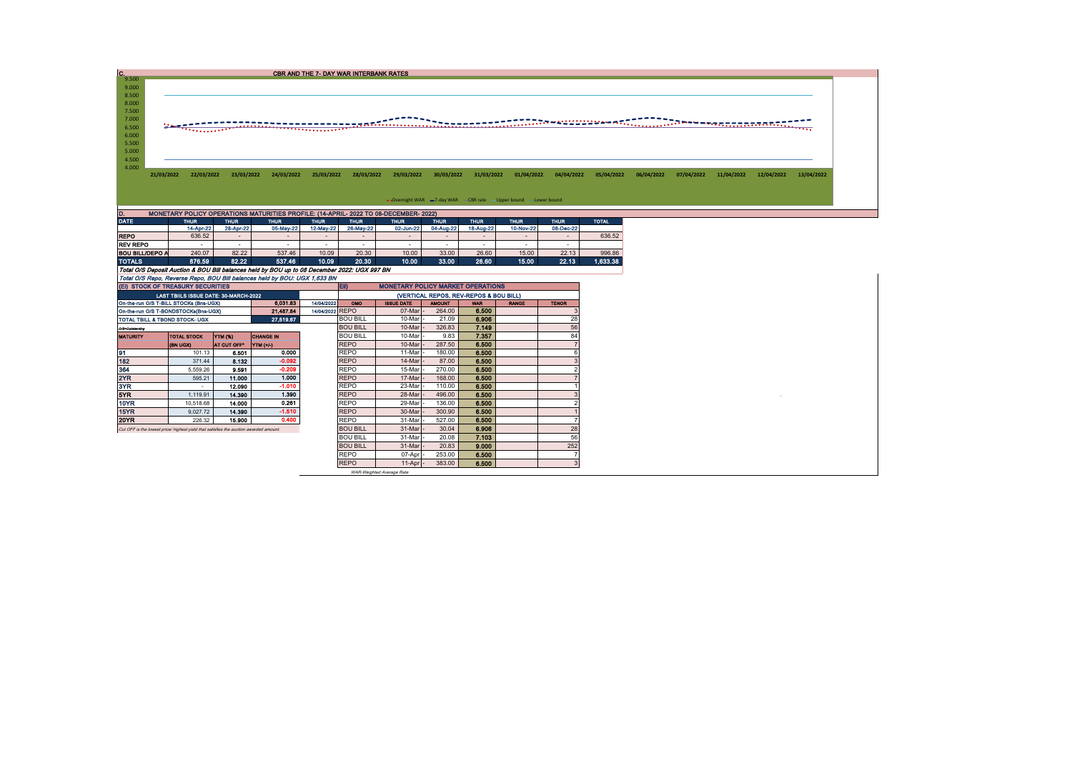| $^{2}$ 9.500                                                                           |            |            |            |            | <b>CBR AND THE 7- DAY WAR INTERBANK RATES</b> |            |                                                                                                                                                       |            |            |            |            |            |            |            |                                                                                                                      |            |            |
|----------------------------------------------------------------------------------------|------------|------------|------------|------------|-----------------------------------------------|------------|-------------------------------------------------------------------------------------------------------------------------------------------------------|------------|------------|------------|------------|------------|------------|------------|----------------------------------------------------------------------------------------------------------------------|------------|------------|
| 9.000<br>8.500<br>8.000<br>7.500<br>7.000<br>6.500<br>6.000<br>5.500<br>5.000<br>4.500 |            |            |            |            |                                               |            |                                                                                                                                                       |            |            |            |            |            |            |            | <b>Industrial Contract Contract Contract Contract Contract Contract Contract Contract Contract Contract Contract</b> |            |            |
| 4.000                                                                                  | 21/03/2022 | 22/03/2022 | 23/03/2022 | 24/03/2022 | 25/03/2022                                    | 28/03/2022 | 29/03/2022                                                                                                                                            | 30/03/2022 | 31/03/2022 | 01/04/2022 | 04/04/2022 | 05/04/2022 | 06/04/2022 | 07/04/2022 | 11/04/2022                                                                                                           | 12/04/2022 | 13/04/2022 |
|                                                                                        |            |            |            |            |                                               |            |                                                                                                                                                       |            |            |            |            |            |            |            |                                                                                                                      |            |            |
|                                                                                        |            |            |            |            |                                               |            | • Overnight WAR =7-day WAR CBR rate -Upper bound -Lower bound<br>MONETARY POLICY OPERATIONS MATURITIES PROFILE: (14-APRIL- 2022 TO 08-DECEMBER- 2022) |            |            |            |            |            |            |            |                                                                                                                      |            |            |

| <b>DATE</b>                                                                                  | <b>THUR</b>              | <b>THUR</b>              | <b>THUR</b> | <b>THUR</b>              | <b>THUR</b> | <b>THUR</b> | <b>THUR</b> | <b>THUR</b> | <b>THUR</b> | <b>THUR</b> | <b>TOTAL</b> |
|----------------------------------------------------------------------------------------------|--------------------------|--------------------------|-------------|--------------------------|-------------|-------------|-------------|-------------|-------------|-------------|--------------|
|                                                                                              | 14-Apr-22                | 28-Apr-22                | 05-May-22   | 12-May-22                | 26-May-22   | 02-Jun-22   | 04-Aug-22   | 18-Aug-22   | 10-Nov-22   | 08-Dec-22   |              |
| <b>REPO</b>                                                                                  | 636.52                   | $\overline{\phantom{0}}$ |             | $\overline{\phantom{0}}$ |             |             |             |             | -           |             | 636.52       |
| <b>REV REPO</b>                                                                              | $\overline{\phantom{a}}$ | -                        |             | -                        |             |             |             |             |             | -           |              |
| BOU BILL/DEPO A                                                                              | 240.07                   | 82.22                    | 537.46      | 10.09                    | 20.30       | 10.00       | 33.00       | 26.60       | 15.00       | 22.13       | 996.86       |
| <b>TOTALS</b>                                                                                | 876.59                   | 82.22                    | 537.46      | 10.09                    | 20.30       | 10.00       | 33.00       | 26.60       | 15.00       | 22.13       | 1.633.38     |
| Total O/S Deposit Auction & BOU Bill balances held by BOU up to 08 December 2022: UGX 997 BN |                          |                          |             |                          |             |             |             |             |             |             |              |
| Total O/S Repo, Reverse Repo, BOU Bill balances held by BOU: UGX 1,633 BN                    |                          |                          |             |                          |             |             |             |             |             |             |              |

| (EI) STOCK OF TREASURY SECURITIES                                                     |                                       |                |                  |            | EID                                    | <b>MONETARY POLICY MARKET OPERATIONS</b> |               |            |              |              |  |  |  |
|---------------------------------------------------------------------------------------|---------------------------------------|----------------|------------------|------------|----------------------------------------|------------------------------------------|---------------|------------|--------------|--------------|--|--|--|
|                                                                                       | LAST TBIILS ISSUE DATE: 30-MARCH-2022 |                |                  |            | (VERTICAL REPOS, REV-REPOS & BOU BILL) |                                          |               |            |              |              |  |  |  |
| On-the-run O/S T-BILL STOCKs (Bns-UGX)                                                |                                       |                | 6,031.83         | 14/04/2022 | OMO                                    | <b>ISSUE DATE</b>                        | <b>AMOUNT</b> | <b>WAR</b> | <b>RANGE</b> | <b>TENOR</b> |  |  |  |
| 14/04/2022 REPO<br>21,487.84<br>On-the-run O/S T-BONDSTOCKs(Bns-UGX)                  |                                       |                |                  |            |                                        | 07-Mar                                   | 264.00        | 6.500      |              |              |  |  |  |
| 27,519.67<br>TOTAL TBILL & TBOND STOCK- UGX                                           |                                       |                |                  |            | <b>BOU BILL</b>                        | 10-Mar                                   | 21.09         | 6.906      |              | 28           |  |  |  |
| O/S=Outstanding                                                                       |                                       |                |                  |            | <b>BOU BILL</b>                        | 10-Mar                                   | 326.83        | 7.149      |              | 56           |  |  |  |
| <b>MATURITY</b>                                                                       | <b>TOTAL STOCK</b>                    | <b>YTM (%)</b> | <b>CHANGE IN</b> |            | <b>BOU BILL</b>                        | 10-Mar                                   | 9.83          | 7.357      |              | 84           |  |  |  |
|                                                                                       | (BN UGX)                              | AT CUT OFF*    | <b>YTM</b> (+/)  |            | <b>REPO</b>                            | 10-Mar                                   | 287.50        | 6.500      |              |              |  |  |  |
| 91                                                                                    | 101.13                                | 6.501          | 0.000            |            | <b>REPO</b>                            | 11-Mar                                   | 180.00        | 6.500      |              |              |  |  |  |
| 182                                                                                   | 371.44                                | 8.132          | $-0.092$         |            | <b>REPO</b>                            | 14-Mar                                   | 87.00         | 6.500      |              |              |  |  |  |
| 364                                                                                   | 5.559.26                              | 9.591          | $-0.209$         |            | <b>REPO</b>                            | 15-Mar                                   | 270.00        | 6,500      |              |              |  |  |  |
| 2YR                                                                                   | 595.21                                | 11.000         | 1.000            |            | <b>REPO</b>                            | 17-Mar                                   | 168.00        | 6.500      |              |              |  |  |  |
| 3YR                                                                                   | ۰.                                    | 12.090         | $-1.010$         |            | <b>REPO</b>                            | 23-Mar                                   | 110.00        | 6.500      |              |              |  |  |  |
| 5YR                                                                                   | 1,119.91                              | 14.390         | 1.390            |            | <b>REPO</b>                            | 28-Mar                                   | 496.00        | 6.500      |              |              |  |  |  |
| 10YR                                                                                  | 10,518.68                             | 14.000         | 0.261            |            | <b>REPO</b>                            | 29-Mar                                   | 136.00        | 6.500      |              |              |  |  |  |
| 15YR                                                                                  | 9,027.72                              | 14.390         | $-1.510$         |            | <b>REPO</b>                            | 30-Mar                                   | 300.90        | 6.500      |              |              |  |  |  |
| <b>20YR</b>                                                                           | 226.32                                | 15.900         | 0.400            |            | <b>REPO</b>                            | 31-Mar                                   | 527.00        | 6.500      |              |              |  |  |  |
| Cut OFF is the lowest price/ highest vield that satisfies the auction awarded amount. |                                       |                |                  |            | <b>BOU BILL</b>                        | 31-Mar                                   | 30.04         | 6.906      |              | 28           |  |  |  |
|                                                                                       |                                       |                |                  |            | <b>BOU BILL</b>                        | 31-Mar                                   | 20.08         | 7.103      |              | 56           |  |  |  |
|                                                                                       |                                       |                |                  |            | <b>BOU BILL</b>                        | 31-Mar                                   | 20.83         | 9.000      |              | 252          |  |  |  |
|                                                                                       |                                       |                |                  |            | <b>REPO</b>                            | 07-Apr                                   | 253.00        | 6.500      |              |              |  |  |  |
|                                                                                       |                                       |                |                  |            | <b>REPO</b>                            | 11-Apr                                   | 383.00        | 6.500      |              |              |  |  |  |
|                                                                                       |                                       |                |                  |            |                                        | WAR-Weighted Average Rate                |               |            |              |              |  |  |  |